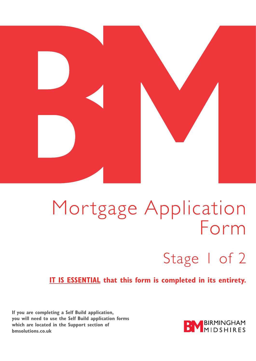

# Mortgage Application<br>Form  $\overline{\phantom{a}}$

# Stage 1 of 2

**IT IS ESSENTIAL that this form is completed in its entirety.** 

**If you are completing a Self Build application, you will need to use the Self Build application forms which are located in the Support section of bmsolutions.co.uk** 

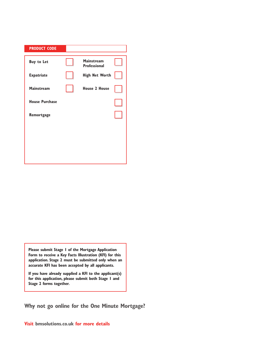| <b>PRODUCT CODE</b>   |                                          |  |
|-----------------------|------------------------------------------|--|
| <b>Buy to Let</b>     | <b>Mainstream</b><br><b>Professional</b> |  |
| <b>Expatriate</b>     | <b>High Net Worth</b>                    |  |
| <b>Mainstream</b>     | <b>House 2 House</b>                     |  |
| <b>House Purchase</b> |                                          |  |
| Remortgage            |                                          |  |
|                       |                                          |  |
|                       |                                          |  |
|                       |                                          |  |

**Please submit Stage 1 of the Mortgage Application Form to receive a Key Facts Illustration (KFI) for this application. Stage 2 must be submitted only when an accurate KFI has been accepted by all applicants.** 

**If you have already supplied a KFI to the applicant(s) for this application, please submit both Stage 1 and Stage 2 forms together.** 

**Why not go online for the One Minute Mortgage?** 

**Visit bmsolutions.co.uk for more details**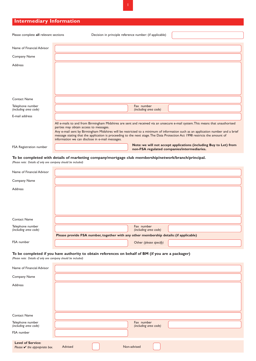# **Intermediary Information**

| Please complete all relevant sections     | Decision in principle reference number: (if applicable)                                                                                                                                                                                                                                                                                                                                                                                                                                       |
|-------------------------------------------|-----------------------------------------------------------------------------------------------------------------------------------------------------------------------------------------------------------------------------------------------------------------------------------------------------------------------------------------------------------------------------------------------------------------------------------------------------------------------------------------------|
|                                           |                                                                                                                                                                                                                                                                                                                                                                                                                                                                                               |
| Name of Financial Advisor                 |                                                                                                                                                                                                                                                                                                                                                                                                                                                                                               |
| Company Name                              |                                                                                                                                                                                                                                                                                                                                                                                                                                                                                               |
| Address                                   |                                                                                                                                                                                                                                                                                                                                                                                                                                                                                               |
|                                           |                                                                                                                                                                                                                                                                                                                                                                                                                                                                                               |
| <b>Contact Name</b>                       |                                                                                                                                                                                                                                                                                                                                                                                                                                                                                               |
| Telephone number<br>(including area code) | Fax number<br>(including area code)                                                                                                                                                                                                                                                                                                                                                                                                                                                           |
| E-mail address                            |                                                                                                                                                                                                                                                                                                                                                                                                                                                                                               |
|                                           | All e-mails to and from Birmingham Midshires are sent and received via an unsecure e-mail system. This means that unauthorised<br>parties may obtain access to messages.<br>Any e-mail sent by Birmingham Midshires will be restricted to a minimum of information such as an application number and a brief<br>message stating that the application is proceeding to the next stage. The Data Protection Act 1998 restricts the amount of<br>information we can disclose in e-mail messages. |
| FSA Registration number                   | Note: we will not accept applications (including Buy to Let) from<br>non-FSA regulated companies/intermediaries.                                                                                                                                                                                                                                                                                                                                                                              |

#### **To be completed with details of marketing company/mortgage club membership/network/branch/principal.**

*(Please note: Details of only one company should be included)* 

| Name of Financial Advisor                 |                                                                                                                               |
|-------------------------------------------|-------------------------------------------------------------------------------------------------------------------------------|
| Company Name                              |                                                                                                                               |
| Address                                   |                                                                                                                               |
| <b>Contact Name</b>                       |                                                                                                                               |
| Telephone number<br>(including area code) | Fax number<br>(including area code)<br>Please provide FSA number, together with any other membership details: (if applicable) |
| FSA number                                | Other (please specify)                                                                                                        |

## **To be completed if you have authority to obtain references on behalf of BM (if you are a packager)**

*(Please note: Details of only one company should be included)* 

| Name of Financial Advisor                                           |                                     |
|---------------------------------------------------------------------|-------------------------------------|
| Company Name                                                        |                                     |
| Address                                                             |                                     |
| <b>Contact Name</b>                                                 |                                     |
| Telephone number<br>(including area code)                           | Fax number<br>(including area code) |
| FSA number                                                          |                                     |
| <b>Level of Service:</b><br>Please $\mathbf v$ the appropriate box. | Advised<br>Non-advised              |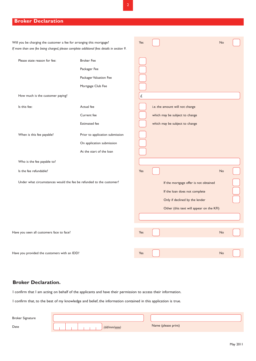## **Broker Declaration**

| Will you be charging the customer a fee for arranging this mortgage?                      |                                                                     | Yes |                                 | No                                       |  |
|-------------------------------------------------------------------------------------------|---------------------------------------------------------------------|-----|---------------------------------|------------------------------------------|--|
| If more than one fee being charged, please complete additional fees details in section 9. |                                                                     |     |                                 |                                          |  |
| Please state reason for fee:                                                              | <b>Broker Fee</b>                                                   |     |                                 |                                          |  |
|                                                                                           | Packager Fee                                                        |     |                                 |                                          |  |
|                                                                                           | Packager Valuation Fee                                              |     |                                 |                                          |  |
|                                                                                           | Mortgage Club Fee                                                   |     |                                 |                                          |  |
| How much is the customer paying?                                                          |                                                                     | £   |                                 |                                          |  |
| Is this fee:                                                                              | Actual fee                                                          |     | i.e. the amount will not change |                                          |  |
|                                                                                           | Current fee                                                         |     | which may be subject to change  |                                          |  |
|                                                                                           | <b>Estimated</b> fee                                                |     | which may be subject to change  |                                          |  |
| When is this fee payable?                                                                 | Prior to application submission                                     |     |                                 |                                          |  |
|                                                                                           | On application submission                                           |     |                                 |                                          |  |
|                                                                                           | At the start of the loan                                            |     |                                 |                                          |  |
| Who is the fee payable to?                                                                |                                                                     |     |                                 |                                          |  |
| Is the fee refundable?                                                                    |                                                                     | Yes |                                 | No                                       |  |
|                                                                                           | Under what circumstances would the fee be refunded to the customer? |     |                                 | If the mortgage offer is not obtained    |  |
|                                                                                           |                                                                     |     |                                 | If the loan does not complete            |  |
|                                                                                           |                                                                     |     |                                 | Only if declined by the lender           |  |
|                                                                                           |                                                                     |     |                                 | Other (this text will appear on the KFI) |  |
|                                                                                           |                                                                     |     |                                 |                                          |  |
| Have you seen all customers face to face?                                                 |                                                                     | Yes |                                 | No                                       |  |
|                                                                                           |                                                                     |     |                                 |                                          |  |
|                                                                                           |                                                                     |     |                                 |                                          |  |
| Have you provided the customers with an IDD?                                              |                                                                     | Yes |                                 | No                                       |  |

# **Broker Declaration.**

I confirm that I am acting on behalf of the applicants and have their permission to access their information.

I confirm that, to the best of my knowledge and belief, the information contained in this application is true.

| <b>Broker Signature</b> |              |                     |
|-------------------------|--------------|---------------------|
| Date                    | (dd/mm/yyyy) | Name (please print) |

L.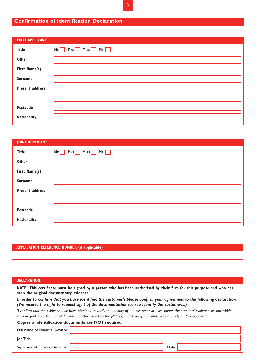## **Confirmation of Identification Declaration**

| <b>FIRST APPLICANT</b> |                        |
|------------------------|------------------------|
| <b>Title</b>           | $Mrs$ Miss $Mss$<br>Mr |
| <b>Other</b>           |                        |
| First Name(s)          |                        |
| <b>Surname</b>         |                        |
| <b>Present address</b> |                        |
|                        |                        |
| Postcode               |                        |
| <b>Nationality</b>     |                        |
|                        |                        |

| <b>JOINT APPLICANT</b> |                                   |
|------------------------|-----------------------------------|
| <b>Title</b>           | $Mrs$ Miss $\Box$ Ms $\Box$<br>Mr |
| <b>Other</b>           |                                   |
| First Name(s)          |                                   |
| <b>Surname</b>         |                                   |
| <b>Present address</b> |                                   |
|                        |                                   |
| <b>Postcode</b>        |                                   |
| <b>Nationality</b>     |                                   |

#### **APPLICATION REFERENCE NUMBER (if applicable)**

#### **DECLARATION:**

 **NOTE: This certificate must be signed by a person who has been authorised by their firm for this purpose and who has seen the original documentary evidence.** 

*In order to confirm that you have identified the customer/s please confirm your agreement to the following declaration. (We reserve the right to request sight of the documentation seen to identify the customer/s.):* 

*'I confirm that the evidence I/we have obtained to verify the identity of the customer at least meets the standard evidence set out within current guidelines for the UK Financial Sector issued by the JMLSG, and Birmingham Midshires can rely on this evidence.'* 

#### **Copies of identification documents are NOT required.**

| Full name of Financial Advisor |       |
|--------------------------------|-------|
| lob Title                      |       |
| Signature of Financial Advisor | Date: |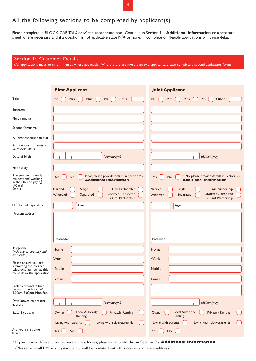# All the following sections to be completed by applicant(s)

Please complete in BLOCK CAPITALS or ✔ the appropriate box. Continue in Section 9 - **Additional Information** or a separate sheet where necessary and if a question is not applicable state N/A or none. Incomplete or illegible applications will cause delay.

| Section 1: Customer Details                                                  | (All applications must be in joint names where applicable. Where there are more than two applicants, please complete a second application form) |                                                                                                               |
|------------------------------------------------------------------------------|-------------------------------------------------------------------------------------------------------------------------------------------------|---------------------------------------------------------------------------------------------------------------|
|                                                                              |                                                                                                                                                 |                                                                                                               |
|                                                                              | <b>First Applicant</b>                                                                                                                          | <b>Joint Applicant</b>                                                                                        |
| Title                                                                        | Mr<br><b>Miss</b><br>Ms<br>Other<br><b>Mrs</b>                                                                                                  | Mr<br><b>Miss</b><br>Other<br><b>Mrs</b><br>Ms                                                                |
| Surname                                                                      |                                                                                                                                                 |                                                                                                               |
| First name(s)                                                                |                                                                                                                                                 |                                                                                                               |
| Second forename                                                              |                                                                                                                                                 |                                                                                                               |
| All previous first name(s)                                                   |                                                                                                                                                 |                                                                                                               |
| All previous surname(s)<br><i>i.e.</i> maiden name                           |                                                                                                                                                 |                                                                                                               |
| Date of birth                                                                | (dd/mm/yyyy)                                                                                                                                    | (dd/mm/yyyy)                                                                                                  |
| Nationality                                                                  |                                                                                                                                                 |                                                                                                               |
| Are you permanently<br>resident and working<br>in the UK and paying          | If No, please provide details in Section 9 -<br>Yes<br>No<br><b>Additional Information.</b>                                                     | If No, please provide details in Section 9 -<br>No<br>Yes<br><b>Additional Information.</b>                   |
| UK tax?<br><b>Status</b>                                                     | Married<br>Civil Partnership<br>Single<br>Divorced / dissolved<br>Separated<br>Widowed<br>a Civil Partnership                                   | Married<br>Single<br>Civil Partnership<br>Divorced / dissolved<br>Separated<br>Widowed<br>a Civil Partnership |
| Number of dependants                                                         | Ages:                                                                                                                                           | Ages:                                                                                                         |
| *Present address                                                             | Postcode                                                                                                                                        | Postcode                                                                                                      |
| Telephone<br>(including ex-directory and                                     | Home                                                                                                                                            | Home                                                                                                          |
| area codes)                                                                  | Work                                                                                                                                            | Work                                                                                                          |
| Please ensure you are<br>submitting the correct<br>telephone number, as this | Mobile                                                                                                                                          | Mobile                                                                                                        |
| could delay the application.                                                 | E-mail                                                                                                                                          | E-mail                                                                                                        |
| Preferred contact time<br>between the hours of<br>9.00am-8.00pm, Mon-Sat.    |                                                                                                                                                 |                                                                                                               |
| Date moved to present<br>address                                             | (dd/mm/yyyy)                                                                                                                                    | (dd/mm/yyyy)                                                                                                  |
| State if you are:                                                            | Local Authority<br><b>Privately Renting</b><br>Owner<br>Renting                                                                                 | <b>Local Authority</b><br>Owner<br><b>Privately Renting</b><br>Renting                                        |
|                                                                              | Living with relatives/friends<br>Living with parents                                                                                            | Living with parents<br>Living with relatives/friends                                                          |
| Are you a first time<br>buyer?                                               | Yes<br>No                                                                                                                                       | Yes<br>No                                                                                                     |

(Please note all BM holdings/accounts will be updated with this correspondence address). \* If you have a different correspondence address, please complete this in Section 9 - **Additional Information**.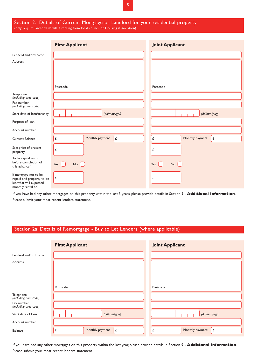#### Section 2: Details of Current Mortgage or Landlord for your residential property (only require landlord details if renting from local council or Housing Association)

|                                                                                                     | <b>First Applicant</b>            | <b>Joint Applicant</b>            |
|-----------------------------------------------------------------------------------------------------|-----------------------------------|-----------------------------------|
| Lender/Landlord name                                                                                |                                   |                                   |
| Address                                                                                             |                                   |                                   |
|                                                                                                     |                                   |                                   |
|                                                                                                     | Postcode                          | Postcode                          |
| Telephone<br>(including area code)                                                                  |                                   |                                   |
| Fax number<br>(including area code)                                                                 |                                   |                                   |
| Start date of loan/tenancy                                                                          | (dd/mm/yyyy)                      | (dd/mm/yyyy)                      |
| Purpose of loan                                                                                     |                                   |                                   |
| Account number                                                                                      |                                   |                                   |
| <b>Current Balance</b>                                                                              | Monthly payment<br>$\pounds$<br>£ | Monthly payment<br>£<br>$\pounds$ |
| Sale price of present<br>property                                                                   | £                                 | £                                 |
| To be repaid on or<br>before completion of<br>this advance?                                         | $No$ $\bigcap$<br>Yes             | No<br>Yes                         |
| If mortgage not to be<br>repaid and property to be<br>let, what will expected<br>monthly rental be? | $\pounds$                         | £                                 |

If you have had any other mortgages on this property within the last 3 years, please provide details in Section 9 - **Additional Information**. Please submit your most recent lenders statement.

## Section 2a: Details of Remortgage - Buy to Let Lenders (where applicable)

|                                     | <b>First Applicant</b> | <b>Joint Applicant</b>    |
|-------------------------------------|------------------------|---------------------------|
| Lender/Landlord name                |                        |                           |
| Address                             |                        |                           |
|                                     | Postcode               | Postcode                  |
| Telephone<br>(including area code)  |                        |                           |
| Fax number<br>(including area code) |                        |                           |
| Start date of loan                  | (dd/mm/yyyy)           | (dd/mm/yyyy)              |
| Account number                      |                        |                           |
| Balance                             | Monthly payment<br>£   | Monthly payment<br>£<br>£ |

If you have had any other mortgages on this property within the last year, please provide details in Section 9 - **Additional Information**. Please submit your most recent lenders statement.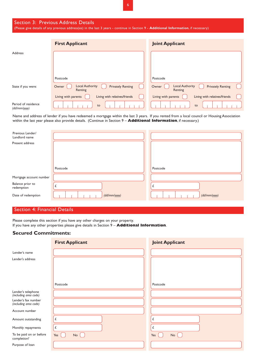| Section 3: Previous Address Details<br>(Please give details of any previous address(es) in the last 3 years - continue in Section 9 - Additional Information, if necessary) |                                                                        |                                                                        |  |  |
|-----------------------------------------------------------------------------------------------------------------------------------------------------------------------------|------------------------------------------------------------------------|------------------------------------------------------------------------|--|--|
|                                                                                                                                                                             | <b>First Applicant</b>                                                 | <b>Joint Applicant</b>                                                 |  |  |
| <b>Address</b>                                                                                                                                                              |                                                                        |                                                                        |  |  |
|                                                                                                                                                                             | Postcode                                                               | Postcode                                                               |  |  |
| State if you were:                                                                                                                                                          | <b>Local Authority</b><br><b>Privately Renting</b><br>Owner<br>Renting | <b>Local Authority</b><br><b>Privately Renting</b><br>Owner<br>Renting |  |  |
|                                                                                                                                                                             | Living with parents<br>Living with relatives/friends                   | Living with relatives/friends<br>Living with parents                   |  |  |

6

Name and address of lender if you have redeemed a mortgage within the last 3 years. If you rented from a local council or Housing Association within the last year please also provide details. (Continue in Section 9 – **Additional Information**, if necessary.)

*(dd/mm/yyyy)* to to

| Previous Lender/<br>Landlord name |              |              |
|-----------------------------------|--------------|--------------|
| Present address                   |              |              |
|                                   | Postcode     | Postcode     |
| Mortgage account number           |              |              |
| Balance prior to<br>redemption    |              |              |
| Date of redemption                | (dd/mm/yyyy) | (dd/mm/yyyy) |

### Section 4: Financial Details

Period of residence<br>(dd/mm/yyyy)

Please complete this section if you have any other charges on your property. If you have any other properties please give details in Section 9 – **Additional Information**.

#### **Secured Commitments:**

|                                              | <b>First Applicant</b> | <b>Joint Applicant</b> |
|----------------------------------------------|------------------------|------------------------|
| Lender's name                                |                        |                        |
| Lender's address                             |                        |                        |
|                                              | Postcode               | Postcode               |
| Lender's telephone<br>(including area code)  |                        |                        |
| Lender's fax number<br>(including area code) |                        |                        |
| Account number                               |                        |                        |
| Amount outstanding                           | £                      | £                      |
| Monthly repayments                           | £                      | £                      |
| To be paid on or before<br>completion?       | Yes<br><b>No</b>       | Yes<br>No              |
| Purpose of loan                              |                        |                        |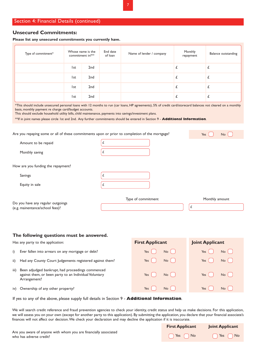#### Section 4: Financial Details (continued)

#### **Unsecured Commitments:**

**Please list any unsecured commitments you currently have.** 

| Type of commitment* |      | Whose name is the<br>commitment in?** | End date<br>of loan | Name of lender / company | Monthly<br>repayment | Balance outstanding |
|---------------------|------|---------------------------------------|---------------------|--------------------------|----------------------|---------------------|
|                     | l st | 2 <sub>nd</sub>                       |                     |                          |                      |                     |
|                     | l st | 2nd                                   |                     |                          |                      |                     |
|                     | l st | 2 <sub>nd</sub>                       |                     |                          |                      |                     |
|                     | l st | 2nd                                   |                     |                          |                      |                     |

\*This should include unsecured personal loans with 12 months to run (car loans, HP agreements), 5% of credit card/storecard balances not cleared on a monthly basis, monthly payment re charge card/budget accounts.

This should exclude household utility bills, child maintenance, payments into savings/investment plans.

\*\*If in joint names please circle 1st and 2nd. Any further commitments should be entered in Section 9 - **Additional Information**.

| Are you repaying some or all of these commitments upon or prior to completion of the mortgage? | Yes<br>No          |                |
|------------------------------------------------------------------------------------------------|--------------------|----------------|
| Amount to be repaid                                                                            | t.                 |                |
| Monthly saving                                                                                 | L                  |                |
| How are you funding the repayment?                                                             |                    |                |
| Savings                                                                                        | £                  |                |
| Equity in sale                                                                                 |                    |                |
| Do you have any regular outgoings<br>(e.g. mainentance/school fees)?                           | Type of commitment | Monthly amount |

#### **The following questions must be answered.**

| Has any party to the application:                                                                                                   | <b>First Applicant</b>   | <b>Joint Applicant</b> |
|-------------------------------------------------------------------------------------------------------------------------------------|--------------------------|------------------------|
| Ever fallen into arrears on any mortgage or debt?<br>i)                                                                             | No <sub>1</sub><br>$Yes$ | No<br>Yes              |
| Had any County Court Judgements registered against them?<br>ii)                                                                     | Yes<br>No                | $\overline{N}$<br>Yes  |
| Been adjudged bankrupt, had proceedings commenced<br>iii)<br>against them, or been party to an Individual Voluntary<br>Arrangement? | No<br>Yes                | No <sub>1</sub><br>Yes |
| iv) Ownership of any other property?                                                                                                | Yes<br>No                | Yes<br>No              |

If yes to any of the above, please supply full details in Section 9 - **Additional Information**.

We will search credit reference and fraud prevention agencies to check your identity, credit status and help us make decisions. For this application, we will assess you on your own (except for another party to this application). By submitting the application, you declare that your financial associate's finances will not affect our decision.We check your declaration and may decline the application if it is inaccurate.

|                                                                                             | <b>First Applicant</b> Joint Applicant |
|---------------------------------------------------------------------------------------------|----------------------------------------|
| Are you aware of anyone with whom you are financially associated<br>who has adverse credit? | △ No No No No No                       |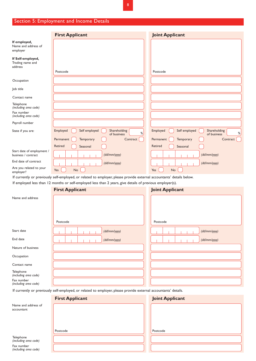# Section 5: Employment and Income Details

|                                                   | <b>First Applicant</b>                                        | <b>Joint Applicant</b>                                        |
|---------------------------------------------------|---------------------------------------------------------------|---------------------------------------------------------------|
| If employed,<br>Name and address of<br>employer   |                                                               |                                                               |
| If Self-employed,<br>Trading name and<br>address  |                                                               |                                                               |
|                                                   | Postcode                                                      | Postcode                                                      |
| Occupation                                        |                                                               |                                                               |
| Job title                                         |                                                               |                                                               |
| Contact name                                      |                                                               |                                                               |
| Telephone<br>(including area code)                |                                                               |                                                               |
| Fax number<br>(including area code)               |                                                               |                                                               |
| Payroll number                                    |                                                               |                                                               |
| State if you are:                                 | Self employed<br>Shareholding<br>Employed<br>%<br>of business | Self employed<br>Employed<br>Shareholding<br>%<br>of business |
|                                                   | Permanent<br>Temporary<br>Contract                            | Permanent<br>Temporary<br>Contract                            |
|                                                   | <b>Retired</b><br>Seasonal                                    | Retired<br>Seasonal                                           |
| Start date of employment /<br>business / contract | (dd/mm/yyyy)                                                  | (dd/mm/yyyy)                                                  |
| End date of contract                              | (dd/mm/yyyy)                                                  | (dd/mm/yyyy)                                                  |
| Are you related to your<br>employer?              | Yes<br>No                                                     | Yes<br><b>No</b>                                              |

If currently or previously self-employed, or related to employer, please provide external accountants' details below. If employed less than 12 months or self-employed less than 2 years, give details of previous employer(s).

|                                     | <b>First Applicant</b>                                                                                          | <b>Joint Applicant</b> |
|-------------------------------------|-----------------------------------------------------------------------------------------------------------------|------------------------|
| Name and address                    | Postcode                                                                                                        | Postcode               |
|                                     |                                                                                                                 |                        |
| Start date                          | (dd/mm/yyyy)                                                                                                    | (dd/mm/yyyy)           |
| End date                            | (dd/mm/yyyy)                                                                                                    | (dd/mm/yyyy)           |
| Nature of business                  |                                                                                                                 |                        |
| Occupation                          |                                                                                                                 |                        |
| Contact name                        |                                                                                                                 |                        |
| Telephone<br>(including area code)  |                                                                                                                 |                        |
| Fax number<br>(including area code) |                                                                                                                 |                        |
|                                     | If currently or previously self-employed, or related to employer, please provide external accountants' details. |                        |
|                                     | <b>First Applicant</b>                                                                                          | <b>Joint Applicant</b> |
| Name and address of<br>accountant   |                                                                                                                 |                        |

Postcode

Telephone *(including area code)*  Fax number *(including area code)*  Postcode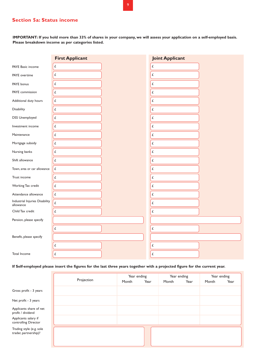## **Section 5a: Status income**

**IMPORTANT: If you hold more than 33% of shares in your company, we will assess your application on a self-employed basis. Please breakdown income as per categories listed.** 

|                                | <b>First Applicant</b> | <b>Joint Applicant</b> |  |
|--------------------------------|------------------------|------------------------|--|
| PAYE Basic income              | $\pounds$              | £                      |  |
| PAYE overtime                  | $\pounds$              | £                      |  |
| PAYE bonus                     | £                      | $\pounds$              |  |
| PAYE commission                | $\pounds$              | $\pounds$              |  |
| Additional duty hours          | $\pmb{\mathcal{L}}$    | $\pounds$              |  |
| Disability                     | $\pounds$              | $\pounds$              |  |
| DSS Unemployed                 | $\pounds$              | $\pounds$              |  |
| Investment income              | $\pounds$              | £                      |  |
| Maintenance                    | $\pmb{\mathit{f}}$     | £                      |  |
| Mortgage subsidy               | $\pounds$              | £                      |  |
| Nursing banks                  | $\pounds$              | $\pounds$              |  |
| Shift allowance                | $\pounds$              | $\pounds$              |  |
| Town, area or car allowance    | $\pmb{\mathit{f}}$     | $\pounds$              |  |
| Trust income                   | $\pounds$              | $\pounds$              |  |
| Working Tax credit             | $\pounds$              | $\pounds$              |  |
| Attendance allowance           | $\pmb{\mathcal{L}}$    | $\pounds$              |  |
| Industrial Injuries Disability | $\pmb{\mathcal{L}}$    | £                      |  |
| allowance<br>Child Tax credit  | $\pmb{\mathit{f}}$     | £                      |  |
| Pension, please specify        |                        |                        |  |
|                                | $\pounds$              | $\pounds$              |  |
| Benefit, please specify        |                        |                        |  |
|                                | $\pounds$              | $\pounds$              |  |
| Total Income                   | $\pounds$              | $\pmb{\mathit{L}}$     |  |

#### **If Self-employed please insert the figures for the last three years together with a projected figure for the current year.**

|                                                   | Projection | Year ending<br>Month | Year | Year ending<br>Month | Year | Year ending<br>Month | Year |
|---------------------------------------------------|------------|----------------------|------|----------------------|------|----------------------|------|
| Gross profit - 3 years                            |            |                      |      |                      |      |                      |      |
| Net profit - 3 years                              |            |                      |      |                      |      |                      |      |
| Applicants share of net<br>profit / dividend      |            |                      |      |                      |      |                      |      |
| Applicants salary if<br>controlling Director      |            |                      |      |                      |      |                      |      |
| Trading style (e.g. sole<br>trader, partnership)? |            |                      |      |                      |      |                      |      |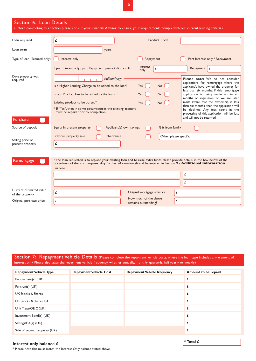10

| Section 6: Loan Details                    | (Before completing this section please consult your Financial Advisor to ensure your requirements comply with our current lending criteria)                                                                                                                                                                                                                                                                                                                                                                                                                                                                                                                                                                                                                             |
|--------------------------------------------|-------------------------------------------------------------------------------------------------------------------------------------------------------------------------------------------------------------------------------------------------------------------------------------------------------------------------------------------------------------------------------------------------------------------------------------------------------------------------------------------------------------------------------------------------------------------------------------------------------------------------------------------------------------------------------------------------------------------------------------------------------------------------|
| Loan required                              | Product Code<br>£                                                                                                                                                                                                                                                                                                                                                                                                                                                                                                                                                                                                                                                                                                                                                       |
| Loan term                                  | years                                                                                                                                                                                                                                                                                                                                                                                                                                                                                                                                                                                                                                                                                                                                                                   |
| Type of loan (Secured only)                | Part Interest only / Repayment<br>Interest only<br>Repayment                                                                                                                                                                                                                                                                                                                                                                                                                                                                                                                                                                                                                                                                                                            |
|                                            | Interest<br>If part Interest only / part Repayment, please indicate split.<br>Repayment $f$<br>£<br>only                                                                                                                                                                                                                                                                                                                                                                                                                                                                                                                                                                                                                                                                |
| Date property was<br>acquired<br>Purchase  | (dd/mm/yyyy)<br>Please note: We do not consider<br>applications for remortgage where the<br>Is a Higher Lending Charge to be added to the loan?<br>Yes<br>No<br>applicant/s have owned the property for<br>less than six months. If this remortgage<br>Is our Product Fee to be added to the loan?<br>application is being made within six<br>Yes<br>No.<br>months of acquisition, or we are later<br>made aware that the ownership is less<br>Existing product to be ported*<br>Yes<br><b>No</b><br>than six months, then the application will<br>* If "Yes", then in some circumstances the existing account<br>be declined. Any fees spent in the<br>must be repaid prior to completion.<br>processing of this application will be lost<br>and will not be returned. |
| Source of deposit                          | Gift from family<br>Equity in present property<br>Applicant(s) own savings                                                                                                                                                                                                                                                                                                                                                                                                                                                                                                                                                                                                                                                                                              |
| Selling price of<br>present property       | Inheritance<br>Other, please specify:<br>Previous property sale<br>£                                                                                                                                                                                                                                                                                                                                                                                                                                                                                                                                                                                                                                                                                                    |
| Remortgage                                 | If the loan requested is to replace your existing loan and to raise extra funds please provide details, in the box below, of the<br>breakdown of the loan purpose. Any further information should be entered in Section 9 - Additional Information.<br>Purpose<br>£<br>£                                                                                                                                                                                                                                                                                                                                                                                                                                                                                                |
| Current estimated value<br>of the property | Original mortgage advance<br>£<br>£                                                                                                                                                                                                                                                                                                                                                                                                                                                                                                                                                                                                                                                                                                                                     |

Original purchase price

 $\lceil \mathcal{L} \rceil$ 

Section 7: Repayment Vehicle Details (Please complete the repayment vehicle costs, where the loan type includes any element of interest only. Please also state the repayment vehicle frequency, whether annually, monthly, quarterly, half yearly or weekly)

How much of the above remains outstanding?

£

| <b>Repayment Vehicle Type</b>     | <b>Repayment Vehicle Cost</b> | <b>Repayment Vehicle frequency</b> | Amount to be repaid |
|-----------------------------------|-------------------------------|------------------------------------|---------------------|
| Endowment(s) (UK)                 |                               |                                    | £.                  |
| Pension(s) (UK)                   |                               |                                    | £                   |
| <b>UK Stocks &amp; Shares</b>     |                               |                                    | £                   |
| <b>UK Stocks &amp; Shares ISA</b> |                               |                                    | £                   |
| Unit Trust/OEIC (UK)              |                               |                                    | £                   |
| Investment Bond(s) (UK)           |                               |                                    | £                   |
| Savings/ISA(s) (UK)               |                               |                                    |                     |
| Sale of second property (UK)      |                               |                                    |                     |

# **Interest only balance £** *\** **Total £**  *\** **Total £**  *\** **Total £**  $\bullet$  **<b>***\** Total £

\* Please note this must match the Interest Only balance stated above.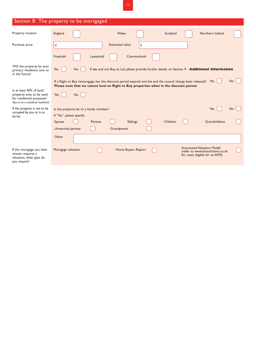| Section 8: The property to be mortgaged                                                                                     |                                                                                                                                                                                                                     |  |  |  |  |
|-----------------------------------------------------------------------------------------------------------------------------|---------------------------------------------------------------------------------------------------------------------------------------------------------------------------------------------------------------------|--|--|--|--|
| Property location                                                                                                           | Wales<br>Northern Ireland<br>England<br>Scotland                                                                                                                                                                    |  |  |  |  |
| Purchase price                                                                                                              | <b>Estimated value</b><br>£<br>£                                                                                                                                                                                    |  |  |  |  |
|                                                                                                                             | Freehold<br>Commonhold<br>Leasehold                                                                                                                                                                                 |  |  |  |  |
| Will the property be your<br>primary residence now or<br>in the future?                                                     | If no, and not Buy to Let, please provide further details on Section 9 - Additional Information<br>Yes<br><b>No</b>                                                                                                 |  |  |  |  |
|                                                                                                                             | No<br>If a Right to Buy remortgage, has the discount period expired and the and the council charge been released?<br>Yes<br>Please note that we cannot lend on Right to Buy properties when in the discount period. |  |  |  |  |
| Is at least 40% of land/<br>property area to be used<br>for residential purposes?<br>(Buy to Let is considered residential) | Yes<br>No                                                                                                                                                                                                           |  |  |  |  |
| If the property is not to be<br>occupied by you or is to                                                                    | Yes<br>No.<br>Is the property let to a family member?                                                                                                                                                               |  |  |  |  |
| be let:                                                                                                                     | If "Yes", please specify:                                                                                                                                                                                           |  |  |  |  |
|                                                                                                                             | Children<br>Grandchildren<br>Parents<br><b>Siblings</b><br>Spouse                                                                                                                                                   |  |  |  |  |
|                                                                                                                             | Unmarried partner<br>Grandparent                                                                                                                                                                                    |  |  |  |  |
|                                                                                                                             | Other                                                                                                                                                                                                               |  |  |  |  |
| If the mortgage you have<br>chosen requires a<br>valuation, what type do<br>you require?                                    | <b>Automated Valuation Model</b><br>Mortgage valuation<br>Home Buyers Report<br>(refer to www.bmsolutions.co.uk<br>for cases eligible for an AVM)                                                                   |  |  |  |  |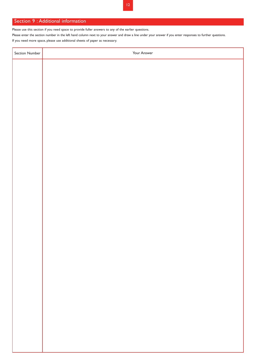### Section 9 : Additional information

Ť

Please use this section if you need space to provide fuller answers to any of the earlier questions.

Please enter the section number in the left hand column next to your answer and draw a line under your answer if you enter responses to further questions.

If you need more space, please use additional sheets of paper as necessary.

| Section Number | Your Answer |
|----------------|-------------|
|                |             |
|                |             |
|                |             |
|                |             |
|                |             |
|                |             |
|                |             |
|                |             |
|                |             |
|                |             |
|                |             |
|                |             |
|                |             |
|                |             |
|                |             |
|                |             |
|                |             |
|                |             |
|                |             |
|                |             |
|                |             |
|                |             |
|                |             |
|                |             |
|                |             |
|                |             |
|                |             |
|                |             |
|                |             |
|                |             |
|                |             |
|                |             |
|                |             |
|                |             |
|                |             |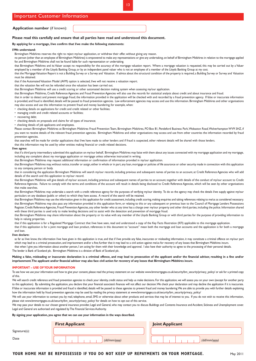|  | <b>Important Customer Information</b> |  |  |
|--|---------------------------------------|--|--|
|--|---------------------------------------|--|--|

**Application number** (if known):

#### **Please read this carefully and ensure that all parties have read and understood this document.**

#### **By applying for a mortgage, I/we confirm that I/we make the following statements:**

#### **I/We understand:**

Birmingham Midshires reserves the right to reject my/our application, or withdraw their offer, without giving any reason.

no person (other than an employee of Birmingham Midshires) is empowered to make any representations or give any undertaking, on behalf of Birmingham Midshires in relation to the mortgage applied for, and Birmingham Midshires shall not be found liable for such representation or undertaking.

 that Birmingham Midshires and its Valuer accept no responsibility for the accuracy of the mortgage valuation report. Where a mortgage valuation is requested, this may be carried out by a Valuer employed by a member of the Lloyds Banking Group, or by an independent panel valuer who is not an employee of a member of the Lloyds Banking Group at my cost.

that the Mortgage Valuation Report is not a Building Survey or a Survey and Valuation. If advice about the structural condition of the property is required, a Building Survey or Survey and Valuation must be obtained.

that if the Automated Valuation Model (AVM) option is selected, I/we will not receive a valuation report.

that the valuation fee will not be refunded once the valuation has been carried out.

that Birmingham Midshires will use a credit scoring or other automated decision making system when assessing my/our application.

that Birmingham Midshires, Credit Reference Agencies and Fraud Prevention Agencies will also use the records for statistical analysis about credit and about insurance and fraud.

that in order to detect and prevent mortgage fraud, the information provided in the application will be checked with and recorded by a fraud prevention agency. If false or inaccurate information is provided, and fraud is identified, details will be passed to fraud prevention agencies. Law enforcement agencies may access and use this information. Birmingham Midshires and other organisations may also access and use this information to prevent fraud and money laundering, for example, when:

• checking details on applications for credit and credit related or other facilities;

• managing credit and credit related accounts or facilities;

• recovering debt;

• checking details on proposals and claims for all types of insurance;

• checking details of job applicants and employees.

Please contact Birmingham Midshires at Birmingham Midshires Fraud Prevention Team, Birmingham Midshires, PO Box 81, Pendeford Business Park,Wobaston Road,Wolverhampton WV9 5HZ, if you want to receive details of the relevant fraud prevention agencies. Birmingham Midshires and other organisations may access and use from other countries the information recorded by fraud prevention agencies.

that searches will be made for similar applications that I/we have made to other lenders and if fraud is suspected, other relevant details will be shared with those lenders.

that this information may be used by other entities making financial or credit related decisions.

#### **I/we agree:**

that if a third party intermediary submitted this application on my/our behalf, Birmingham Midshires may liaise with them about any issues connected with my mortgage application and my mortgage, including any complaint about my mortgage application or mortgage unless otherwise instructed in writing.

that Birmingham Midshires may request additional information or confirmation of information provided in my/our application.

that Birmingham Midshires may, without notice, transfer or assign, either in whole or in part, any loan, mortgage or policies of life assurance or other security made in connection with this application to any company, person or body.

 details of the search and this application to my/our record. that in considering the application Birmingham Midshires will search my/our records, including previous and subsequent names of parties to an account, at Credit Reference Agencies who will add

that Birmingham Midshires will give details of my/our account, including previous and subsequent names of parties to an account, together with details of the conduct of my/our account to Credit Reference Agencies. Failure to comply with the terms and conditions of the account will result in details being disclosed to Credit Reference Agencies, which will be seen by other organisations that make searches.

 that Birmingham Midshires may undertake a search with a credit reference agency for the purposes of verifying my/our identity. To do so the agency may check the details I/we supply against my/our particulars on any database (public or other) to which they have access. A record of the search will be retained.

that Birmingham Midshires may use the information given in this application for credit assessment, including credit scoring, making enquiries and taking references relating to me/us as considered necessary. that Birmingham Midshires may also pass any information provided in this application form, or relating to this or any subsequent or previous loan to the Council of Mortgage Lenders Possessions Register, Credit Reference Agencies, Fraud Prevention Agencies, any other lender who at any time has a charge over my/our property and other third parties, including the police. Information shared with these third parties is used only to make lending decisions and to assist with the detection and prevention of mortgage fraud.

that Birmingham Midshires may share information about the property or its value with any member of the Lloyds Banking Group or with third parties for the purpose of providing information to help in valuing properties.

that if this application is for a Regulated Mortgage Contract that I/we have seen, read and understood a copy of the Key Facts Illustration (KFI) applicable to this mortgage application.

that if this application is for a joint mortgage and loan product, references in this document to "account" mean both the mortgage and loan accounts and the application is for both a mortgage and loan.

#### **I/we declare:**

as far as I/we know, the information I/we have given in this application is true, and that if I/we provide any false, inaccurate or misleading information, it may constitute a criminal offence on my/our part which may lead to a criminal prosecution, and imprisonment and/or a fine; further that it may lead to a civil action against me/us for recovery of any losses that Birmingham Midshires incurs.

that when I give you information about another person, I am acting for them with their knowledge and approval. I also have their authority to agree to the processing of their personal details.

The lender is Bank of Scotland plc. Birmingham Midshires is a division of Bank of Scotland plc.

Making a false, misleading or inaccurate declaration is a criminal offence, and may lead to prosecution of the applicant and/or the financial advisor, resulting in a fine and/or **imprisonment.The applicant and/or financial advisor may also face civil action for recovery of any losses that Birmingham Midshires incurs.** 

#### **IMPORTANT – USE OF YOUR INFORMATION**

To see how we use your information and how to give your consent, please read the privacy statement on our website www.bmmortgages.co.uk/security/pm\_security/privacy\_policy/ or ask for a printed copy of this.

We will search credit reference and fraud prevention agencies to check your identity, credit status and help us make decisions. For this application, we will assess you on your own (except for another party to this application). By submitting the application, you declare that your financial associate's finances will not affect our decision. We check your declaration and may decline the application if it is inaccurate. If false or inaccurate information is provided and fraud is identified, details will be passed to these agencies to prevent fraud and money laundering.We are able to provide you with further details explaining how the information held by fraud prevention agencies may be used by reading the privacy statement at www.bmmortgages.co.uk/security/bm\_security/privacy\_policy/

We will use your information to contact you by mail, telephone, email, SMS or otherwise about other products and services that may be of interest to you. If you do not wish to receive this information, please visit www.bmmortgages.co.uk/security/bm\_security/privacy\_policy/ for details on how to opt out of this service.

We may pass your details to our chosen general insurance provider, Legal and General, who may contact you to discuss Buildings and Contents Insurance and Accident, Sickness and Unemployment cover. Legal and General are authorised and regulated by The Financial Services Authority.

#### **By signing your application, you agree that we can use your information in the ways described.**

|               | <b>First Applicant</b> | <b>Joint Applicant</b> |
|---------------|------------------------|------------------------|
| Signature(s): |                        |                        |
| Date          | (dd/mm/yyyy)           | (dd/mm/yyyy)           |

#### **YOUR HOME MAY BE REPOSSESSED IF YOU DO NOT KEEP UP REPAYMENTS ON YOUR MORTGAGE.** May 2011